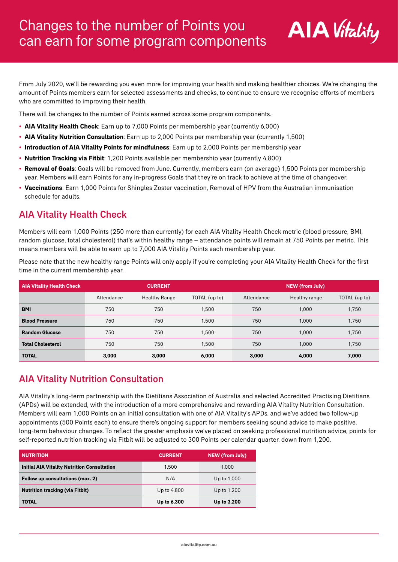

From July 2020, we'll be rewarding you even more for improving your health and making healthier choices. We're changing the amount of Points members earn for selected assessments and checks, to continue to ensure we recognise efforts of members who are committed to improving their health.

There will be changes to the number of Points earned across some program components.

- **• AIA Vitality Health Check**: Earn up to 7,000 Points per membership year (currently 6,000)
- **• AIA Vitality Nutrition Consultation**: Earn up to 2,000 Points per membership year (currently 1,500)
- **• Introduction of AIA Vitality Points for mindfulness**: Earn up to 2,000 Points per membership year
- **• Nutrition Tracking via Fitbit**: 1,200 Points available per membership year (currently 4,800)
- **• Removal of Goals**: Goals will be removed from June. Currently, members earn (on average) 1,500 Points per membership year. Members will earn Points for any in-progress Goals that they're on track to achieve at the time of changeover.
- **• Vaccinations**: Earn 1,000 Points for Shingles Zoster vaccination, Removal of HPV from the Australian immunisation schedule for adults.

# AIA Vitality Health Check

Members will earn 1,000 Points (250 more than currently) for each AIA Vitality Health Check metric (blood pressure, BMI, random glucose, total cholesterol) that's within healthy range – attendance points will remain at 750 Points per metric. This means members will be able to earn up to 7,000 AIA Vitality Points each membership year.

Please note that the new healthy range Points will only apply if you're completing your AIA Vitality Health Check for the first time in the current membership year.

| <b>AIA Vitality Health Check</b> | <b>CURRENT</b> |               |               | <b>NEW (from July)</b> |               |               |
|----------------------------------|----------------|---------------|---------------|------------------------|---------------|---------------|
|                                  | Attendance     | Healthy Range | TOTAL (up to) | Attendance             | Healthy range | TOTAL (up to) |
| <b>BMI</b>                       | 750            | 750           | 1.500         | 750                    | 1.000         | 1,750         |
| <b>Blood Pressure</b>            | 750            | 750           | 1.500         | 750                    | 1.000         | 1.750         |
| <b>Random Glucose</b>            | 750            | 750           | 1.500         | 750                    | 1.000         | 1.750         |
| <b>Total Cholesterol</b>         | 750            | 750           | 1.500         | 750                    | 1.000         | 1.750         |
| <b>TOTAL</b>                     | 3.000          | 3,000         | 6.000         | 3.000                  | 4.000         | 7.000         |

# AIA Vitality Nutrition Consultation

AIA Vitality's long-term partnership with the Dietitians Association of Australia and selected Accredited Practising Dietitians (APDs) will be extended, with the introduction of a more comprehensive and rewarding AIA Vitality Nutrition Consultation. Members will earn 1,000 Points on an initial consultation with one of AIA Vitality's APDs, and we've added two follow-up appointments (500 Points each) to ensure there's ongoing support for members seeking sound advice to make positive, long-term behaviour changes. To reflect the greater emphasis we've placed on seeking professional nutrition advice, points for self-reported nutrition tracking via Fitbit will be adjusted to 300 Points per calendar quarter, down from 1,200.

| <b>NUTRITION</b>                                   | <b>CURRENT</b> | <b>NEW (from July)</b> |
|----------------------------------------------------|----------------|------------------------|
| <b>Initial AIA Vitality Nutrition Consultation</b> | 1.500          | 1.000                  |
| Follow up consultations (max. 2)                   | N/A            | Up to 1,000            |
| <b>Nutrition tracking (via Fitbit)</b>             | Up to 4,800    | Up to 1,200            |
| <b>TOTAL</b>                                       | Up to 6,300    | Up to 3,200            |